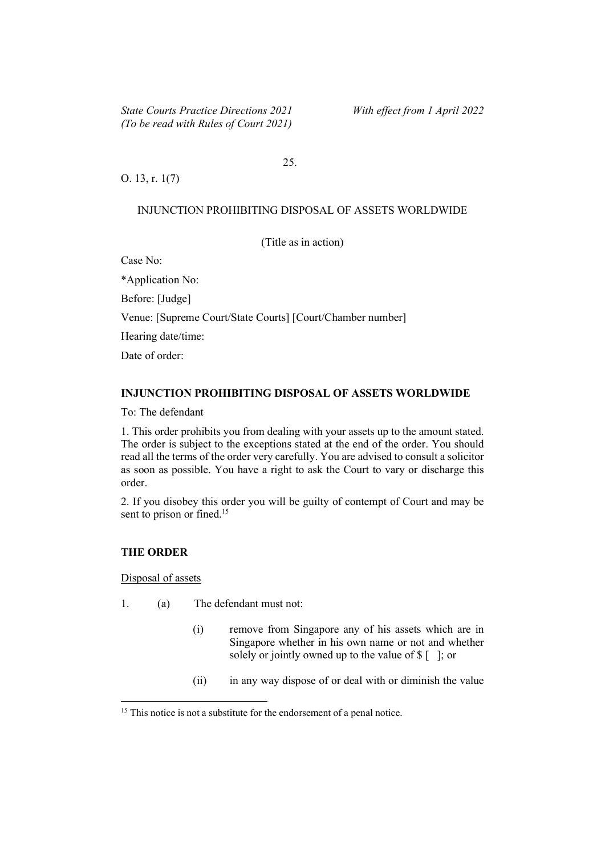## 25.

O. 13, r. 1(7)

#### INJUNCTION PROHIBITING DISPOSAL OF ASSETS WORLDWIDE

(Title as in action)

Case No:

\*Application No: Before: [Judge] Venue: [Supreme Court/State Courts] [Court/Chamber number] Hearing date/time: Date of order:

## INJUNCTION PROHIBITING DISPOSAL OF ASSETS WORLDWIDE

To: The defendant

1. This order prohibits you from dealing with your assets up to the amount stated. The order is subject to the exceptions stated at the end of the order. You should read all the terms of the order very carefully. You are advised to consult a solicitor as soon as possible. You have a right to ask the Court to vary or discharge this order.

2. If you disobey this order you will be guilty of contempt of Court and may be sent to prison or fined.<sup>15</sup>

### THE ORDER

Disposal of assets

- 1. (a) The defendant must not:
	- (i) remove from Singapore any of his assets which are in Singapore whether in his own name or not and whether solely or jointly owned up to the value of  $\frac{1}{2}$  [ ]; or
	- (ii) in any way dispose of or deal with or diminish the value

<sup>&</sup>lt;sup>15</sup> This notice is not a substitute for the endorsement of a penal notice.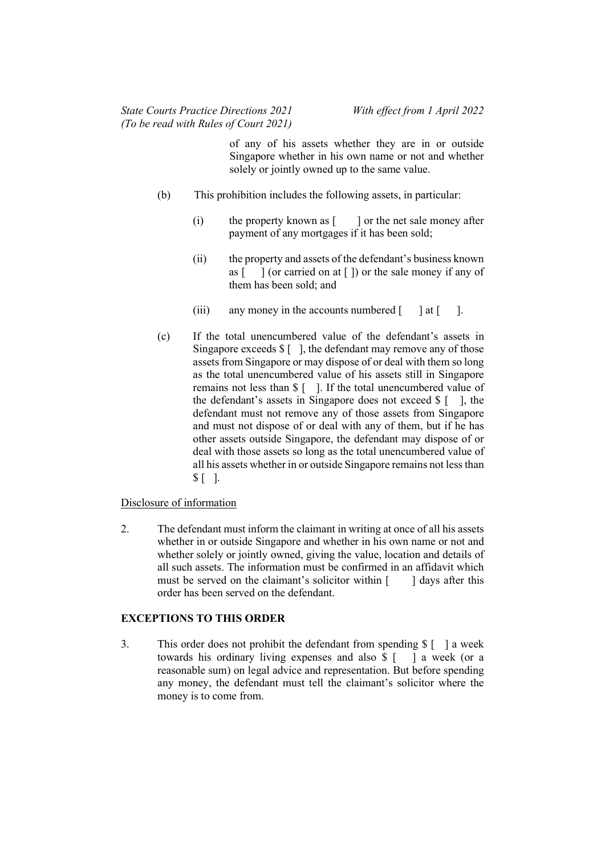of any of his assets whether they are in or outside Singapore whether in his own name or not and whether solely or jointly owned up to the same value.

- (b) This prohibition includes the following assets, in particular:
	- (i) the property known as  $\lceil \cdot \cdot \rceil$  or the net sale money after payment of any mortgages if it has been sold;
	- (ii) the property and assets of the defendant's business known as  $\lceil \ \ \rceil$  (or carried on at  $\lceil \ \rceil$ ) or the sale money if any of them has been sold; and
	- (iii) any money in the accounts numbered  $\lceil \quad \rceil$  at  $\lceil \quad \rceil$ .
- (c) If the total unencumbered value of the defendant's assets in Singapore exceeds  $\S$  [ ], the defendant may remove any of those assets from Singapore or may dispose of or deal with them so long as the total unencumbered value of his assets still in Singapore remains not less than \$ [ ]. If the total unencumbered value of the defendant's assets in Singapore does not exceed  $\frac{1}{2}$  [ ], the defendant must not remove any of those assets from Singapore and must not dispose of or deal with any of them, but if he has other assets outside Singapore, the defendant may dispose of or deal with those assets so long as the total unencumbered value of all his assets whether in or outside Singapore remains not less than  $$$ [ ].

## Disclosure of information

2. The defendant must inform the claimant in writing at once of all his assets whether in or outside Singapore and whether in his own name or not and whether solely or jointly owned, giving the value, location and details of all such assets. The information must be confirmed in an affidavit which must be served on the claimant's solicitor within  $\lceil \cdot \cdot \rceil$  days after this order has been served on the defendant.

# EXCEPTIONS TO THIS ORDER

3. This order does not prohibit the defendant from spending \$ [ ] a week towards his ordinary living expenses and also \$ [ ] a week (or a reasonable sum) on legal advice and representation. But before spending any money, the defendant must tell the claimant's solicitor where the money is to come from.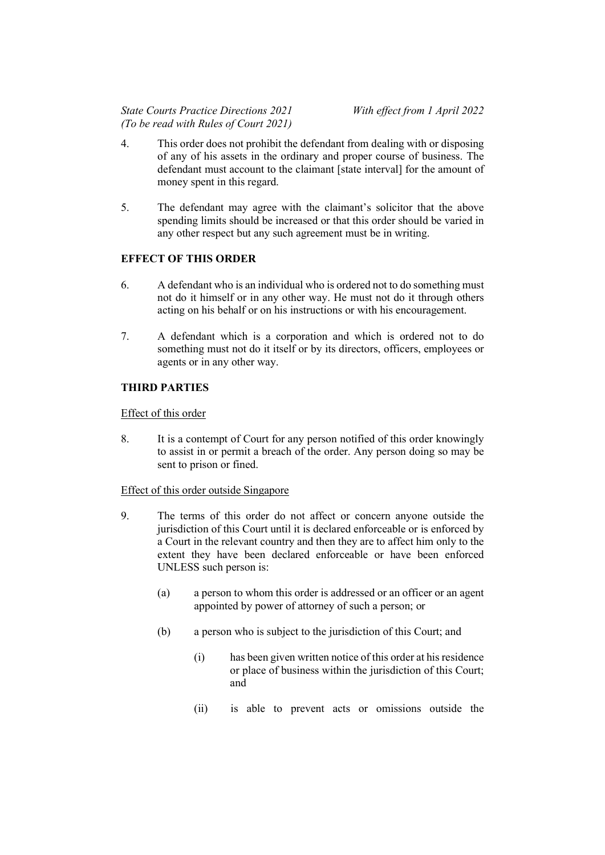- 4. This order does not prohibit the defendant from dealing with or disposing of any of his assets in the ordinary and proper course of business. The defendant must account to the claimant [state interval] for the amount of money spent in this regard.
- 5. The defendant may agree with the claimant's solicitor that the above spending limits should be increased or that this order should be varied in any other respect but any such agreement must be in writing.

# EFFECT OF THIS ORDER

- 6. A defendant who is an individual who is ordered not to do something must not do it himself or in any other way. He must not do it through others acting on his behalf or on his instructions or with his encouragement.
- 7. A defendant which is a corporation and which is ordered not to do something must not do it itself or by its directors, officers, employees or agents or in any other way.

# THIRD PARTIES

## Effect of this order

8. It is a contempt of Court for any person notified of this order knowingly to assist in or permit a breach of the order. Any person doing so may be sent to prison or fined.

## Effect of this order outside Singapore

- 9. The terms of this order do not affect or concern anyone outside the jurisdiction of this Court until it is declared enforceable or is enforced by a Court in the relevant country and then they are to affect him only to the extent they have been declared enforceable or have been enforced UNLESS such person is:
	- (a) a person to whom this order is addressed or an officer or an agent appointed by power of attorney of such a person; or
	- (b) a person who is subject to the jurisdiction of this Court; and
		- (i) has been given written notice of this order at his residence or place of business within the jurisdiction of this Court; and
		- (ii) is able to prevent acts or omissions outside the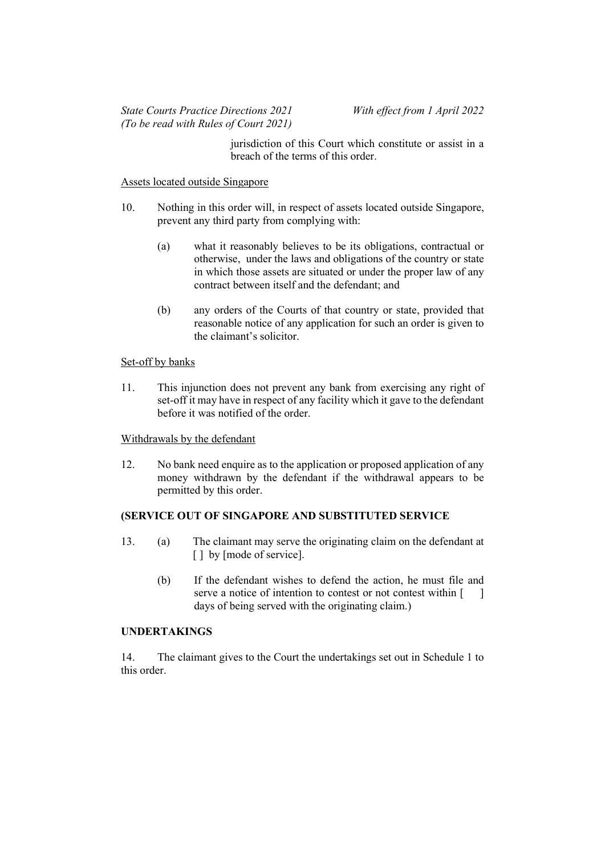jurisdiction of this Court which constitute or assist in a breach of the terms of this order.

#### Assets located outside Singapore

- 10. Nothing in this order will, in respect of assets located outside Singapore, prevent any third party from complying with:
	- (a) what it reasonably believes to be its obligations, contractual or otherwise, under the laws and obligations of the country or state in which those assets are situated or under the proper law of any contract between itself and the defendant; and
	- (b) any orders of the Courts of that country or state, provided that reasonable notice of any application for such an order is given to the claimant's solicitor.

### Set-off by banks

11. This injunction does not prevent any bank from exercising any right of set-off it may have in respect of any facility which it gave to the defendant before it was notified of the order.

## Withdrawals by the defendant

12. No bank need enquire as to the application or proposed application of any money withdrawn by the defendant if the withdrawal appears to be permitted by this order.

## (SERVICE OUT OF SINGAPORE AND SUBSTITUTED SERVICE

- 13. (a) The claimant may serve the originating claim on the defendant at [ ] by [mode of service].
	- (b) If the defendant wishes to defend the action, he must file and serve a notice of intention to contest or not contest within [ ] days of being served with the originating claim.)

## UNDERTAKINGS

14. The claimant gives to the Court the undertakings set out in Schedule 1 to this order.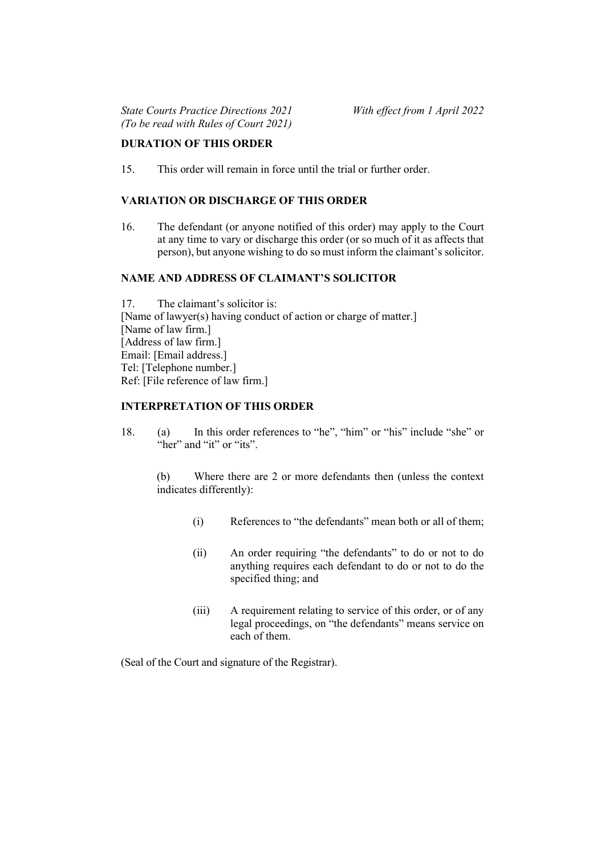## DURATION OF THIS ORDER

15. This order will remain in force until the trial or further order.

## VARIATION OR DISCHARGE OF THIS ORDER

16. The defendant (or anyone notified of this order) may apply to the Court at any time to vary or discharge this order (or so much of it as affects that person), but anyone wishing to do so must inform the claimant's solicitor.

# NAME AND ADDRESS OF CLAIMANT'S SOLICITOR

17. The claimant's solicitor is: [Name of lawyer(s) having conduct of action or charge of matter.] [Name of law firm.] [Address of law firm.] Email: [Email address.] Tel: [Telephone number.] Ref: [File reference of law firm.]

# INTERPRETATION OF THIS ORDER

18. (a) In this order references to "he", "him" or "his" include "she" or "her" and "it" or "its".

(b) Where there are 2 or more defendants then (unless the context indicates differently):

- (i) References to "the defendants" mean both or all of them;
- (ii) An order requiring "the defendants" to do or not to do anything requires each defendant to do or not to do the specified thing; and
- (iii) A requirement relating to service of this order, or of any legal proceedings, on "the defendants" means service on each of them.

(Seal of the Court and signature of the Registrar).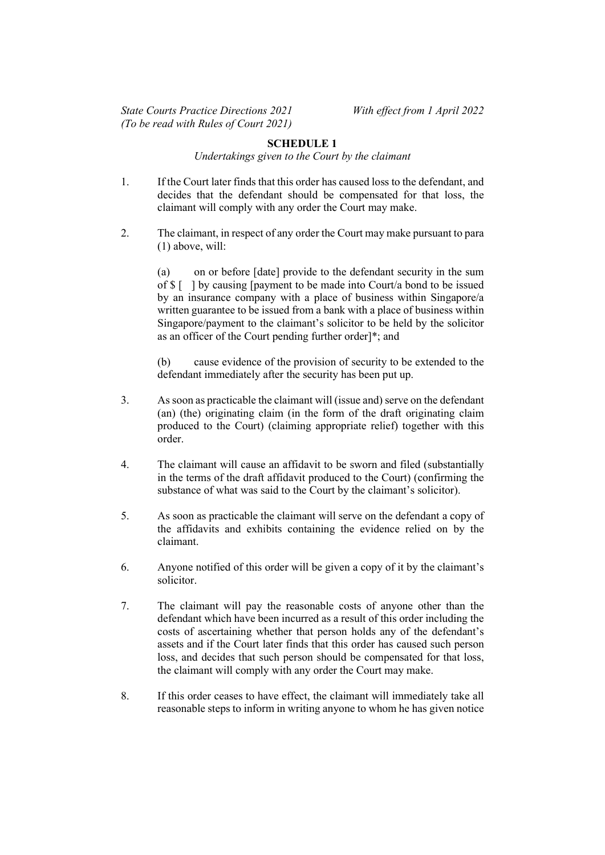### SCHEDULE 1

Undertakings given to the Court by the claimant

- 1. If the Court later finds that this order has caused loss to the defendant, and decides that the defendant should be compensated for that loss, the claimant will comply with any order the Court may make.
- 2. The claimant, in respect of any order the Court may make pursuant to para (1) above, will:

(a) on or before [date] provide to the defendant security in the sum of  $\{\ ]$  by causing [payment to be made into Court/a bond to be issued by an insurance company with a place of business within Singapore/a written guarantee to be issued from a bank with a place of business within Singapore/payment to the claimant's solicitor to be held by the solicitor as an officer of the Court pending further order]\*; and

(b) cause evidence of the provision of security to be extended to the defendant immediately after the security has been put up.

- 3. As soon as practicable the claimant will (issue and) serve on the defendant (an) (the) originating claim (in the form of the draft originating claim produced to the Court) (claiming appropriate relief) together with this order.
- 4. The claimant will cause an affidavit to be sworn and filed (substantially in the terms of the draft affidavit produced to the Court) (confirming the substance of what was said to the Court by the claimant's solicitor).
- 5. As soon as practicable the claimant will serve on the defendant a copy of the affidavits and exhibits containing the evidence relied on by the claimant.
- 6. Anyone notified of this order will be given a copy of it by the claimant's solicitor.
- 7. The claimant will pay the reasonable costs of anyone other than the defendant which have been incurred as a result of this order including the costs of ascertaining whether that person holds any of the defendant's assets and if the Court later finds that this order has caused such person loss, and decides that such person should be compensated for that loss, the claimant will comply with any order the Court may make.
- 8. If this order ceases to have effect, the claimant will immediately take all reasonable steps to inform in writing anyone to whom he has given notice